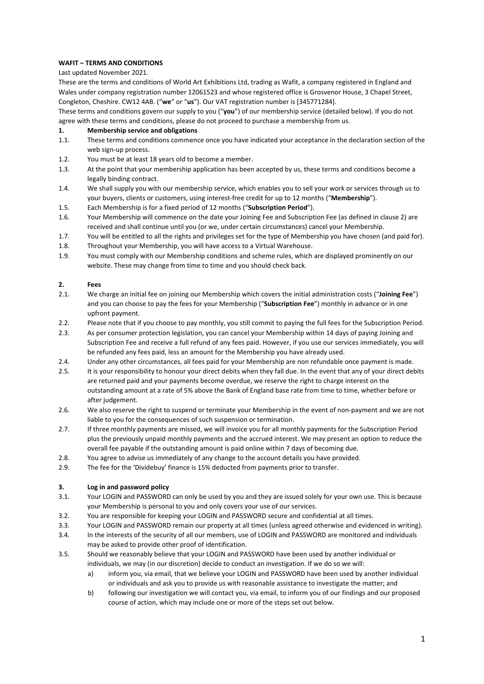# **WAFIT – TERMS AND CONDITIONS**

## Last updated November 2021.

These are the terms and conditions of World Art Exhibitions Ltd, trading as Wafit, a company registered in England and Wales under company registration number 12061523 and whose registered office is Grosvenor House, 3 Chapel Street, Congleton, Cheshire. CW12 4AB. ("**we**" or "**us**"). Our VAT registration number is [345771284].

These terms and conditions govern our supply to you ("**you**") of our membership service (detailed below). If you do not agree with these terms and conditions, please do not proceed to purchase a membership from us.

## **1. Membership service and obligations**

- 1.1. These terms and conditions commence once you have indicated your acceptance in the declaration section of the web sign-up process.
- 1.2. You must be at least 18 years old to become a member.
- 1.3. At the point that your membership application has been accepted by us, these terms and conditions become a legally binding contract.
- 1.4. We shall supply you with our membership service, which enables you to sell your work or services through us to your buyers, clients or customers, using interest-free credit for up to 12 months ("**Membership**").
- 1.5. Each Membership is for a fixed period of 12 months ("**Subscription Period**").
- 1.6. Your Membership will commence on the date your Joining Fee and Subscription Fee (as defined in clause 2) are received and shall continue until you (or we, under certain circumstances) cancel your Membership.
- 1.7. You will be entitled to all the rights and privileges set for the type of Membership you have chosen (and paid for).
- 1.8. Throughout your Membership, you will have access to a Virtual Warehouse.
- 1.9. You must comply with our Membership conditions and scheme rules, which are displayed prominently on our website. These may change from time to time and you should check back.

#### **2. Fees**

- 2.1. We charge an initial fee on joining our Membership which covers the initial administration costs ("**Joining Fee**") and you can choose to pay the fees for your Membership ("**Subscription Fee**") monthly in advance or in one upfront payment.
- 2.2. Please note that if you choose to pay monthly, you still commit to paying the full fees for the Subscription Period.
- 2.3. As per consumer protection legislation, you can cancel your Membership within 14 days of paying Joining and Subscription Fee and receive a full refund of any fees paid. However, if you use our services immediately, you will be refunded any fees paid, less an amount for the Membership you have already used.
- 2.4. Under any other circumstances, all fees paid for your Membership are non refundable once payment is made.
- 2.5. It is your responsibility to honour your direct debits when they fall due. In the event that any of your direct debits are returned paid and your payments become overdue, we reserve the right to charge interest on the outstanding amount at a rate of 5% above the Bank of England base rate from time to time, whether before or after judgement.
- 2.6. We also reserve the right to suspend or terminate your Membership in the event of non-payment and we are not liable to you for the consequences of such suspension or termination.
- 2.7. If three monthly payments are missed, we will invoice you for all monthly payments for the Subscription Period plus the previously unpaid monthly payments and the accrued interest. We may present an option to reduce the overall fee payable if the outstanding amount is paid online within 7 days of becoming due.
- 2.8. You agree to advise us immediately of any change to the account details you have provided.
- 2.9. The fee for the 'Dividebuy' finance is 15% deducted from payments prior to transfer.

## **3. Log in and password policy**

- 3.1. Your LOGIN and PASSWORD can only be used by you and they are issued solely for your own use. This is because your Membership is personal to you and only covers your use of our services.
- 3.2. You are responsible for keeping your LOGIN and PASSWORD secure and confidential at all times.
- 3.3. Your LOGIN and PASSWORD remain our property at all times (unless agreed otherwise and evidenced in writing).
- 3.4. In the interests of the security of all our members, use of LOGIN and PASSWORD are monitored and individuals may be asked to provide other proof of identification.
- 3.5. Should we reasonably believe that your LOGIN and PASSWORD have been used by another individual or individuals, we may (in our discretion) decide to conduct an investigation. If we do so we will:
	- a) inform you, via email, that we believe your LOGIN and PASSWORD have been used by another individual or individuals and ask you to provide us with reasonable assistance to investigate the matter; and
	- b) following our investigation we will contact you, via email, to inform you of our findings and our proposed course of action, which may include one or more of the steps set out below.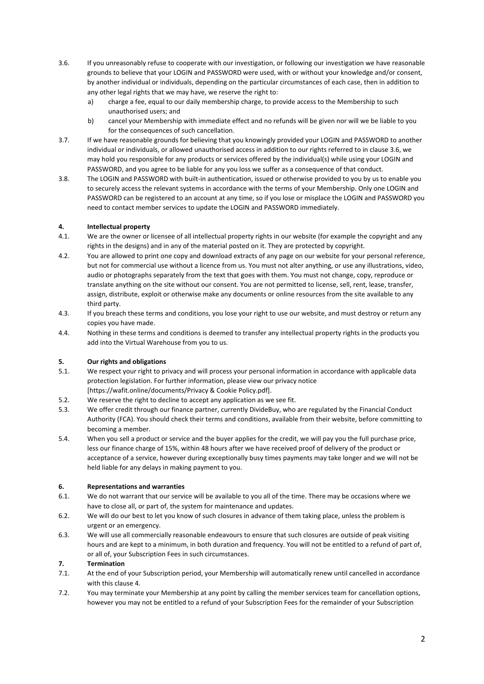- 3.6. If you unreasonably refuse to cooperate with our investigation, or following our investigation we have reasonable grounds to believe that your LOGIN and PASSWORD were used, with or without your knowledge and/or consent, by another individual or individuals, depending on the particular circumstances of each case, then in addition to any other legal rights that we may have, we reserve the right to:
	- a) charge a fee, equal to our daily membership charge, to provide access to the Membership to such unauthorised users; and
	- b) cancel your Membership with immediate effect and no refunds will be given nor will we be liable to you for the consequences of such cancellation.
- 3.7. If we have reasonable grounds for believing that you knowingly provided your LOGIN and PASSWORD to another individual or individuals, or allowed unauthorised access in addition to our rights referred to in clause 3.6, we may hold you responsible for any products or services offered by the individual(s) while using your LOGIN and PASSWORD, and you agree to be liable for any you loss we suffer as a consequence of that conduct.
- 3.8. The LOGIN and PASSWORD with built-in authentication, issued or otherwise provided to you by us to enable you to securely access the relevant systems in accordance with the terms of your Membership. Only one LOGIN and PASSWORD can be registered to an account at any time, so if you lose or misplace the LOGIN and PASSWORD you need to contact member services to update the LOGIN and PASSWORD immediately.

# **4. Intellectual property**

- 4.1. We are the owner or licensee of all intellectual property rights in our website (for example the copyright and any rights in the designs) and in any of the material posted on it. They are protected by copyright.
- 4.2. You are allowed to print one copy and download extracts of any page on our website for your personal reference, but not for commercial use without a licence from us. You must not alter anything, or use any illustrations, video, audio or photographs separately from the text that goes with them. You must not change, copy, reproduce or translate anything on the site without our consent. You are not permitted to license, sell, rent, lease, transfer, assign, distribute, exploit or otherwise make any documents or online resources from the site available to any third party.
- 4.3. If you breach these terms and conditions, you lose your right to use our website, and must destroy or return any copies you have made.
- 4.4. Nothing in these terms and conditions is deemed to transfer any intellectual property rights in the products you add into the Virtual Warehouse from you to us.

# **5. Our rights and obligations**

- 5.1. We respect your right to privacy and will process your personal information in accordance with applicable data protection legislation. For further information, please view our privacy notice [https://wafit.online/documents/Privacy & Cookie Policy.pdf].
- 5.2. We reserve the right to decline to accept any application as we see fit.
- 5.3. We offer credit through our finance partner, currently DivideBuy, who are regulated by the Financial Conduct Authority (FCA). You should check their terms and conditions, available from their website, before committing to becoming a member.
- 5.4. When you sell a product or service and the buyer applies for the credit, we will pay you the full purchase price, less our finance charge of 15%, within 48 hours after we have received proof of delivery of the product or acceptance of a service, however during exceptionally busy times payments may take longer and we will not be held liable for any delays in making payment to you.

#### **6. Representations and warranties**

- 6.1. We do not warrant that our service will be available to you all of the time. There may be occasions where we have to close all, or part of, the system for maintenance and updates.
- 6.2. We will do our best to let you know of such closures in advance of them taking place, unless the problem is urgent or an emergency.
- 6.3. We will use all commercially reasonable endeavours to ensure that such closures are outside of peak visiting hours and are kept to a minimum, in both duration and frequency. You will not be entitled to a refund of part of, or all of, your Subscription Fees in such circumstances.

## **7. Termination**

- 7.1. At the end of your Subscription period, your Membership will automatically renew until cancelled in accordance with this clause 4.
- 7.2. You may terminate your Membership at any point by calling the member services team for cancellation options, however you may not be entitled to a refund of your Subscription Fees for the remainder of your Subscription